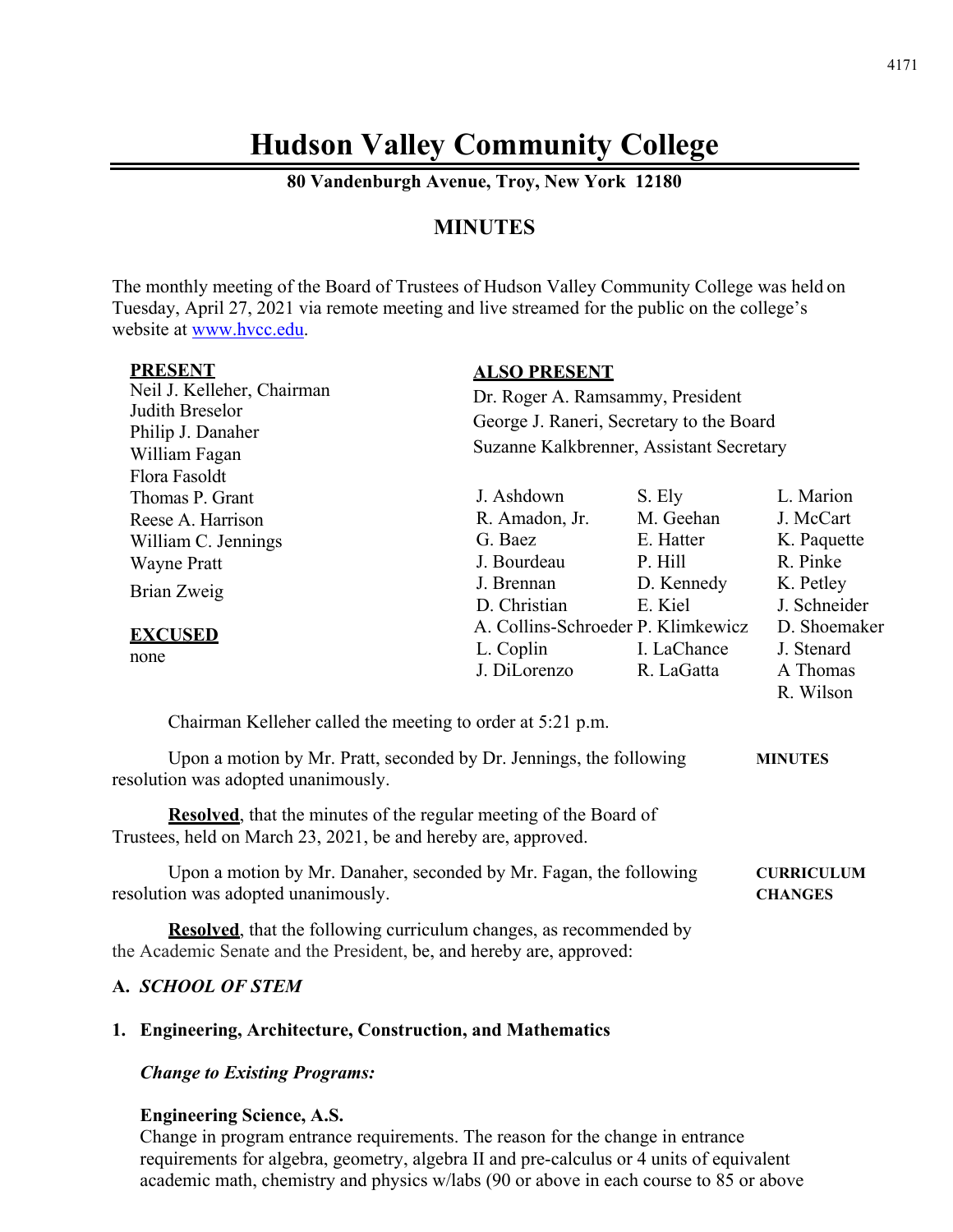# **Hudson Valley Community College**

**80 Vandenburgh Avenue, Troy, New York 12180** 

# **MINUTES**

The monthly meeting of the Board of Trustees of Hudson Valley Community College was held on Tuesday, April 27, 2021 via remote meeting and live streamed for the public on the college's website at www.hvcc.edu.

| <b>PRESENT</b><br>Neil J. Kelleher, Chairman<br>Judith Breselor<br>Philip J. Danaher<br>William Fagan             | <b>ALSO PRESENT</b><br>Dr. Roger A. Ramsammy, President<br>George J. Raneri, Secretary to the Board<br>Suzanne Kalkbrenner, Assistant Secretary |                                                                      |                                                                                |
|-------------------------------------------------------------------------------------------------------------------|-------------------------------------------------------------------------------------------------------------------------------------------------|----------------------------------------------------------------------|--------------------------------------------------------------------------------|
| Flora Fasoldt<br>Thomas P. Grant<br>Reese A. Harrison<br>William C. Jennings<br><b>Wayne Pratt</b><br>Brian Zweig | J. Ashdown<br>R. Amadon, Jr.<br>G. Baez<br>J. Bourdeau<br>J. Brennan<br>D. Christian                                                            | S. Ely<br>M. Geehan<br>E. Hatter<br>P. Hill<br>D. Kennedy<br>E. Kiel | L. Marion<br>J. McCart<br>K. Paquette<br>R. Pinke<br>K. Petley<br>J. Schneider |
| <b>EXCUSED</b><br>none                                                                                            | A. Collins-Schroeder P. Klimkewicz<br>L. Coplin<br>J. DiLorenzo                                                                                 | I. LaChance<br>R. LaGatta                                            | D. Shoemaker<br>J. Stenard<br>A Thomas<br>R. Wilson                            |

Chairman Kelleher called the meeting to order at 5:21 p.m.

Upon a motion by Mr. Pratt, seconded by Dr. Jennings, the following **MINUTES**  resolution was adopted unanimously.

**Resolved**, that the minutes of the regular meeting of the Board of Trustees, held on March 23, 2021, be and hereby are, approved.

Upon a motion by Mr. Danaher, seconded by Mr. Fagan, the following **CURRICULUM** resolution was adopted unanimously. **CHANGES** 

**Resolved**, that the following curriculum changes, as recommended by the Academic Senate and the President, be, and hereby are, approved:

# **A.** *SCHOOL OF STEM*

#### **1. Engineering, Architecture, Construction, and Mathematics**

*Change to Existing Programs:*

#### **Engineering Science, A.S.**

Change in program entrance requirements. The reason for the change in entrance requirements for algebra, geometry, algebra II and pre-calculus or 4 units of equivalent academic math, chemistry and physics w/labs (90 or above in each course to 85 or above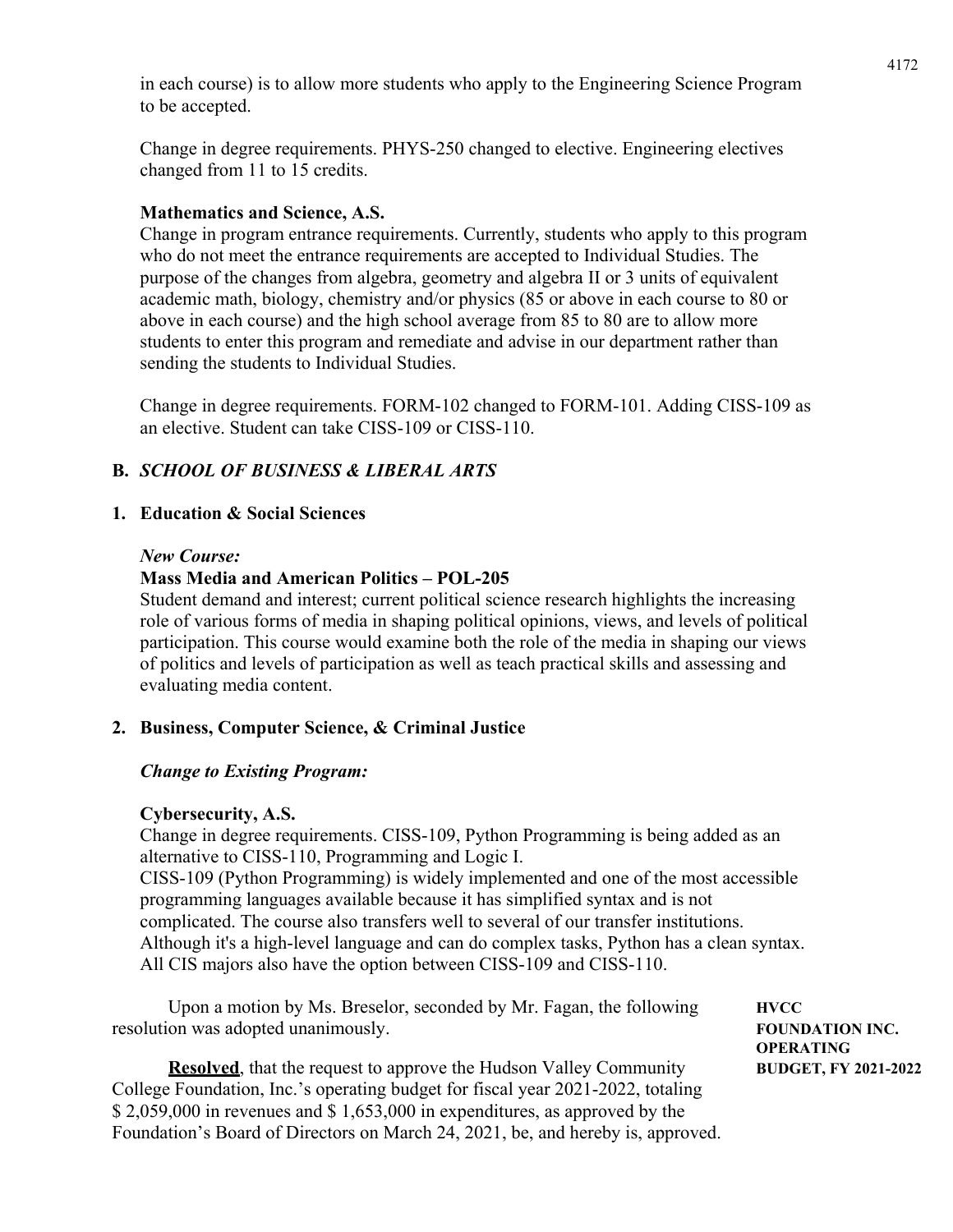in each course) is to allow more students who apply to the Engineering Science Program to be accepted.

Change in degree requirements. PHYS-250 changed to elective. Engineering electives changed from 11 to 15 credits.

# **Mathematics and Science, A.S.**

Change in program entrance requirements. Currently, students who apply to this program who do not meet the entrance requirements are accepted to Individual Studies. The purpose of the changes from algebra, geometry and algebra II or 3 units of equivalent academic math, biology, chemistry and/or physics (85 or above in each course to 80 or above in each course) and the high school average from 85 to 80 are to allow more students to enter this program and remediate and advise in our department rather than sending the students to Individual Studies.

Change in degree requirements. FORM-102 changed to FORM-101. Adding CISS-109 as an elective. Student can take CISS-109 or CISS-110.

# **B.** *SCHOOL OF BUSINESS & LIBERAL ARTS*

#### **1. Education & Social Sciences**

#### *New Course:*

#### **Mass Media and American Politics – POL-205**

Student demand and interest; current political science research highlights the increasing role of various forms of media in shaping political opinions, views, and levels of political participation. This course would examine both the role of the media in shaping our views of politics and levels of participation as well as teach practical skills and assessing and evaluating media content.

# **2. Business, Computer Science, & Criminal Justice**

# *Change to Existing Program:*

#### **Cybersecurity, A.S.**

Change in degree requirements. CISS-109, Python Programming is being added as an alternative to CISS-110, Programming and Logic I. CISS-109 (Python Programming) is widely implemented and one of the most accessible programming languages available because it has simplified syntax and is not complicated. The course also transfers well to several of our transfer institutions. Although it's a high-level language and can do complex tasks, Python has a clean syntax. All CIS majors also have the option between CISS-109 and CISS-110.

Upon a motion by Ms. Breselor, seconded by Mr. Fagan, the following **HVCC** resolution was adopted unanimously. **FOUNDATION INC.** 

**Resolved**, that the request to approve the Hudson Valley Community **BUDGET**, FY 2021-2022 College Foundation, Inc.'s operating budget for fiscal year 2021-2022, totaling \$ 2,059,000 in revenues and \$ 1,653,000 in expenditures, as approved by the Foundation's Board of Directors on March 24, 2021, be, and hereby is, approved.

 **OPERATING**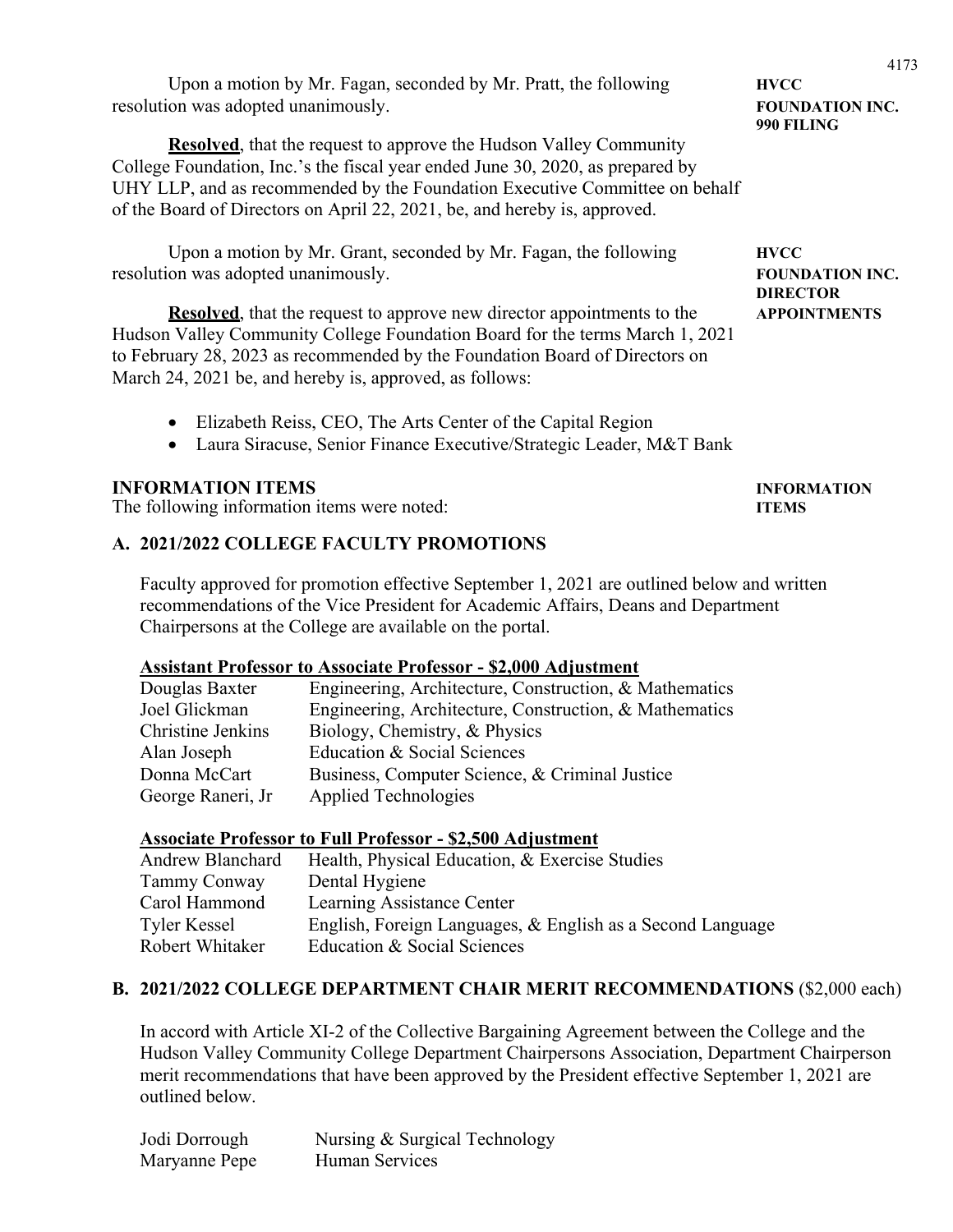Upon a motion by Mr. Fagan, seconded by Mr. Pratt, the following **HVCC** resolution was adopted unanimously. **FOUNDATION INC.** 

**Resolved**, that the request to approve the Hudson Valley Community College Foundation, Inc.'s the fiscal year ended June 30, 2020, as prepared by UHY LLP, and as recommended by the Foundation Executive Committee on behalf of the Board of Directors on April 22, 2021, be, and hereby is, approved.

Upon a motion by Mr. Grant, seconded by Mr. Fagan, the following **HVCC** resolution was adopted unanimously. **FOUNDATION INC.** 

**Resolved**, that the request to approve new director appointments to the **APPOINTMENTS**  Hudson Valley Community College Foundation Board for the terms March 1, 2021 to February 28, 2023 as recommended by the Foundation Board of Directors on March 24, 2021 be, and hereby is, approved, as follows:

- Elizabeth Reiss, CEO, The Arts Center of the Capital Region
- Laura Siracuse, Senior Finance Executive/Strategic Leader, M&T Bank

#### **INFORMATION ITEMS INFORMATION**

The following information items were noted: **ITEMS** 

#### **A. 2021/2022 COLLEGE FACULTY PROMOTIONS**

 Faculty approved for promotion effective September 1, 2021 are outlined below and written recommendations of the Vice President for Academic Affairs, Deans and Department Chairpersons at the College are available on the portal.

#### **Assistant Professor to Associate Professor - \$2,000 Adjustment**

| Douglas Baxter    | Engineering, Architecture, Construction, & Mathematics |
|-------------------|--------------------------------------------------------|
| Joel Glickman     | Engineering, Architecture, Construction, & Mathematics |
| Christine Jenkins | Biology, Chemistry, & Physics                          |
| Alan Joseph       | Education & Social Sciences                            |
| Donna McCart      | Business, Computer Science, & Criminal Justice         |
| George Raneri, Jr | Applied Technologies                                   |

#### **Associate Professor to Full Professor - \$2,500 Adjustment**

| English, Foreign Languages, & English as a Second Language |
|------------------------------------------------------------|
|                                                            |
|                                                            |

#### **B. 2021/2022 COLLEGE DEPARTMENT CHAIR MERIT RECOMMENDATIONS** (\$2,000 each)

In accord with Article XI-2 of the Collective Bargaining Agreement between the College and the Hudson Valley Community College Department Chairpersons Association, Department Chairperson merit recommendations that have been approved by the President effective September 1, 2021 are outlined below.

| Jodi Dorrough | Nursing & Surgical Technology |
|---------------|-------------------------------|
| Maryanne Pepe | Human Services                |

 **990 FILING** 

 **DIRECTOR**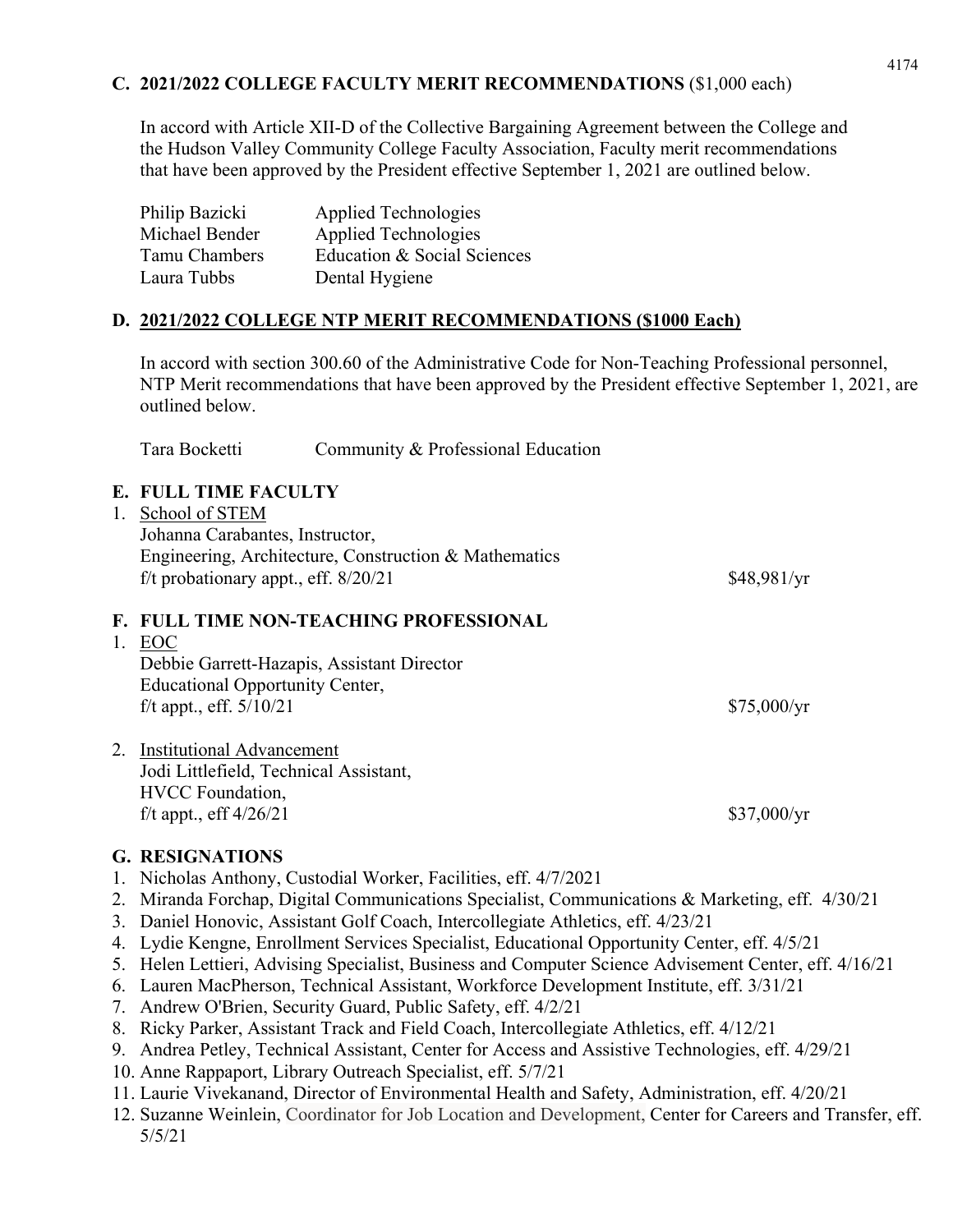# **C. 2021/2022 COLLEGE FACULTY MERIT RECOMMENDATIONS** (\$1,000 each)

In accord with Article XII-D of the Collective Bargaining Agreement between the College and the Hudson Valley Community College Faculty Association, Faculty merit recommendations that have been approved by the President effective September 1, 2021 are outlined below.

| Philip Bazicki | Applied Technologies        |
|----------------|-----------------------------|
| Michael Bender | Applied Technologies        |
| Tamu Chambers  | Education & Social Sciences |
| Laura Tubbs    | Dental Hygiene              |

# **D. 2021/2022 COLLEGE NTP MERIT RECOMMENDATIONS (\$1000 Each)**

In accord with section 300.60 of the Administrative Code for Non-Teaching Professional personnel, NTP Merit recommendations that have been approved by the President effective September 1, 2021, are outlined below.

Tara Bocketti Community & Professional Education

# **E. FULL TIME FACULTY**

| 1. | School of STEM                                        |             |
|----|-------------------------------------------------------|-------------|
|    | Johanna Carabantes, Instructor,                       |             |
|    | Engineering, Architecture, Construction & Mathematics |             |
|    | f/t probationary appt., eff. $8/20/21$                | \$48,981/yr |
|    | <b>F. FULL TIME NON-TEACHING PROFESSIONAL</b>         |             |
| 1. | EOC                                                   |             |
|    | Debbie Garrett-Hazapis, Assistant Director            |             |
|    | <b>Educational Opportunity Center,</b>                |             |
|    | f/t appt., eff. $5/10/21$                             | \$75,000/yr |
|    |                                                       |             |
|    | 2. Institutional Advancement                          |             |
|    | Jodi Littlefield, Technical Assistant,                |             |
|    | <b>HVCC</b> Foundation,                               |             |
|    | f/t appt., eff $4/26/21$                              | \$37,000/yr |
|    |                                                       |             |

#### **G. RESIGNATIONS**

- 1. Nicholas Anthony, Custodial Worker, Facilities, eff. 4/7/2021
- 2. Miranda Forchap, Digital Communications Specialist, Communications & Marketing, eff. 4/30/21
- 3. Daniel Honovic, Assistant Golf Coach, Intercollegiate Athletics, eff. 4/23/21
- 4. Lydie Kengne, Enrollment Services Specialist, Educational Opportunity Center, eff. 4/5/21
- 5. Helen Lettieri, Advising Specialist, Business and Computer Science Advisement Center, eff. 4/16/21
- 6. Lauren MacPherson, Technical Assistant, Workforce Development Institute, eff. 3/31/21
- 7. Andrew O'Brien, Security Guard, Public Safety, eff. 4/2/21
- 8. Ricky Parker, Assistant Track and Field Coach, Intercollegiate Athletics, eff. 4/12/21
- 9. Andrea Petley, Technical Assistant, Center for Access and Assistive Technologies, eff. 4/29/21
- 10. Anne Rappaport, Library Outreach Specialist, eff. 5/7/21
- 11. Laurie Vivekanand, Director of Environmental Health and Safety, Administration, eff. 4/20/21
- 12. Suzanne Weinlein, Coordinator for Job Location and Development, Center for Careers and Transfer, eff. 5/5/21